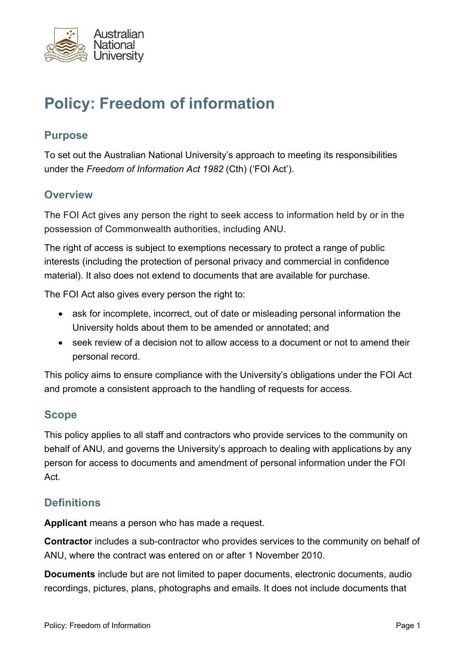

# **Policy: Freedom of information**

#### **Purpose**

To set out the Australian National University's approach to meeting its responsibilities under the *Freedom of Information Act 1982* (Cth) ('FOI Act').

#### **Overview**

The FOI Act gives any person the right to seek access to information held by or in the possession of Commonwealth authorities, including ANU.

The right of access is subject to exemptions necessary to protect a range of public interests (including the protection of personal privacy and commercial in confidence material). It also does not extend to documents that are available for purchase.

The FOI Act also gives every person the right to:

- ask for incomplete, incorrect, out of date or misleading personal information the University holds about them to be amended or annotated; and
- seek review of a decision not to allow access to a document or not to amend their personal record.

This policy aims to ensure compliance with the University's obligations under the FOI Act and promote a consistent approach to the handling of requests for access.

#### **Scope**

This policy applies to all staff and contractors who provide services to the community on behalf of ANU, and governs the University's approach to dealing with applications by any person for access to documents and amendment of personal information under the FOI Act.

#### **Definitions**

**Applicant** means a person who has made a request.

**Contractor** includes a sub-contractor who provides services to the community on behalf of ANU, where the contract was entered on or after 1 November 2010.

**Documents** include but are not limited to paper documents, electronic documents, audio recordings, pictures, plans, photographs and emails. It does not include documents that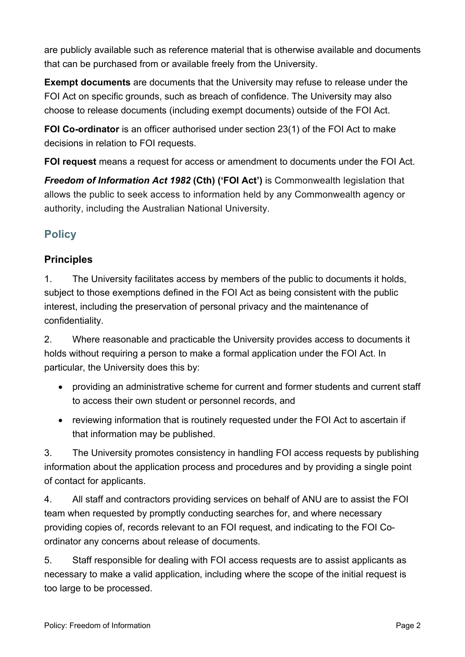are publicly available such as reference material that is otherwise available and documents that can be purchased from or available freely from the University.

**Exempt documents** are documents that the University may refuse to release under the FOI Act on specific grounds, such as breach of confidence. The University may also choose to release documents (including exempt documents) outside of the FOI Act.

**FOI Co-ordinator** is an officer authorised under section 23(1) of the FOI Act to make decisions in relation to FOI requests.

**FOI request** means a request for access or amendment to documents under the FOI Act.

*Freedom of Information Act 1982* **(Cth) ('FOI Act')** is Commonwealth legislation that allows the public to seek access to information held by any Commonwealth agency or authority, including the Australian National University.

# **Policy**

### **Principles**

1. The University facilitates access by members of the public to documents it holds, subject to those exemptions defined in the FOI Act as being consistent with the public interest, including the preservation of personal privacy and the maintenance of confidentiality.

2. Where reasonable and practicable the University provides access to documents it holds without requiring a person to make a formal application under the FOI Act. In particular, the University does this by:

- providing an administrative scheme for current and former students and current staff to access their own student or personnel records, and
- reviewing information that is routinely requested under the FOI Act to ascertain if that information may be published.

3. The University promotes consistency in handling FOI access requests by publishing information about the application process and procedures and by providing a single point of contact for applicants.

4. All staff and contractors providing services on behalf of ANU are to assist the FOI team when requested by promptly conducting searches for, and where necessary providing copies of, records relevant to an FOI request, and indicating to the FOI Coordinator any concerns about release of documents.

5. Staff responsible for dealing with FOI access requests are to assist applicants as necessary to make a valid application, including where the scope of the initial request is too large to be processed.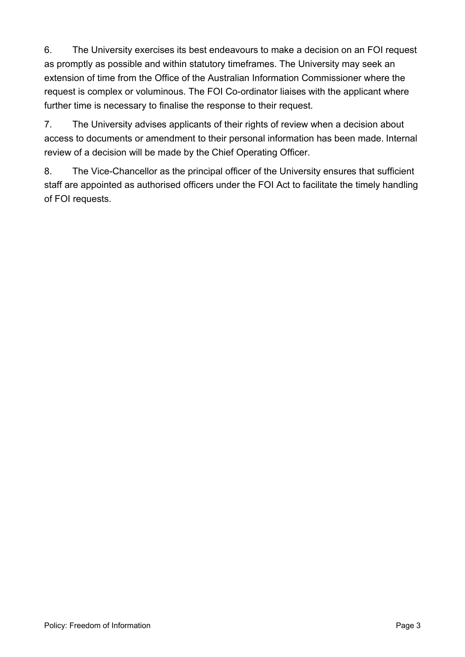6. The University exercises its best endeavours to make a decision on an FOI request as promptly as possible and within statutory timeframes. The University may seek an extension of time from the Office of the Australian Information Commissioner where the request is complex or voluminous. The FOI Co-ordinator liaises with the applicant where further time is necessary to finalise the response to their request.

7. The University advises applicants of their rights of review when a decision about access to documents or amendment to their personal information has been made. Internal review of a decision will be made by the Chief Operating Officer.

8. The Vice-Chancellor as the principal officer of the University ensures that sufficient staff are appointed as authorised officers under the FOI Act to facilitate the timely handling of FOI requests.